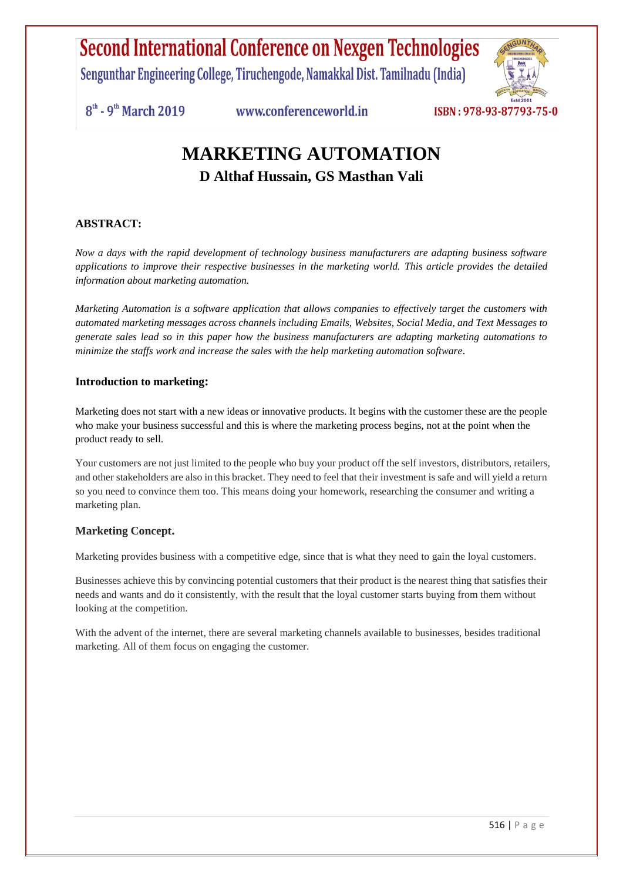Sengunthar Engineering College, Tiruchengode, Namakkal Dist. Tamilnadu (India)



 $8<sup>th</sup>$  - 9<sup>th</sup> March 2019

www.conferenceworld.in

### **MARKETING AUTOMATION D Althaf Hussain, GS Masthan Vali**

### **ABSTRACT:**

*Now a days with the rapid development of technology business manufacturers are adapting business software applications to improve their respective businesses in the marketing world. This article provides the detailed information about marketing automation.*

*Marketing Automation is a software application that allows companies to effectively target the customers with automated marketing messages across channels including Emails, Websites, Social Media, and Text Messages to generate sales lead so in this paper how the business manufacturers are adapting marketing automations to minimize the staffs work and increase the sales with the help marketing automation software.* 

#### **Introduction to marketing:**

Marketing does not start with a new ideas or innovative products. It begins with the customer these are the people who make your business successful and this is where the marketing process begins, not at the point when the product ready to sell.

Your customers are not just limited to the people who buy your product off the self investors, distributors, retailers, and other stakeholders are also in this bracket. They need to feel that their investment is safe and will yield a return so you need to convince them too. This means doing your homework, researching the consumer and writing a marketing plan.

#### **Marketing Concept.**

Marketing provides business with a competitive edge, since that is what they need to gain the loyal customers.

Businesses achieve this by convincing potential customers that their product is the nearest thing that satisfies their needs and wants and do it consistently, with the result that the loyal customer starts buying from them without looking at the competition.

With the advent of the internet, there are several marketing channels available to businesses, besides traditional marketing. All of them focus on engaging the customer.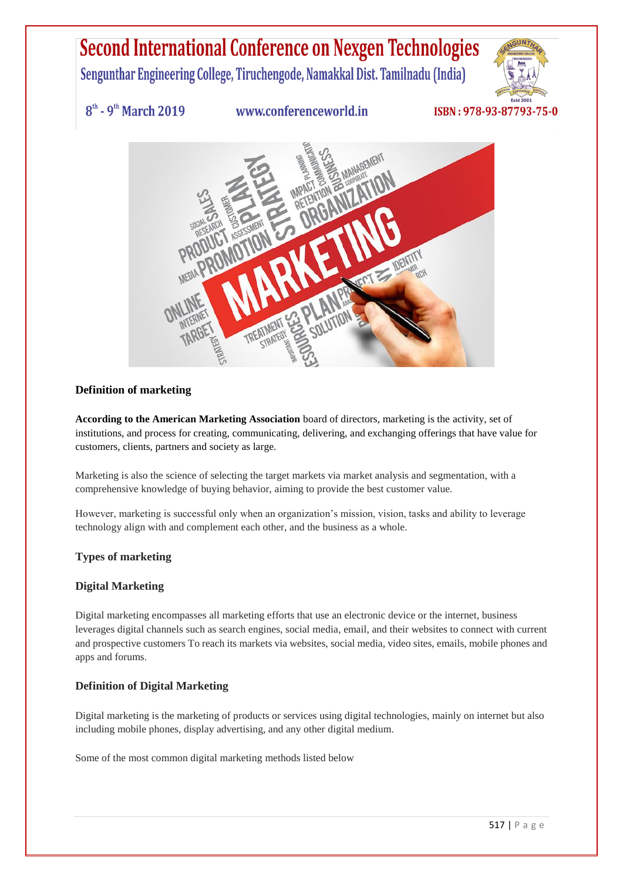Sengunthar Engineering College, Tiruchengode, Namakkal Dist. Tamilnadu (India)



 $8<sup>th</sup>$  - 9<sup>th</sup> March 2019

www.conferenceworld.in

### ISBN: 978-93-87793-75-0



#### **Definition of marketing**

**According to the American Marketing Association** board of directors, marketing is the activity, set of institutions, and process for creating, communicating, delivering, and exchanging offerings that have value for customers, clients, partners and society as large.

Marketing is also the science of selecting the target markets via market analysis and segmentation, with a comprehensive knowledge of buying behavior, aiming to provide the best customer value.

However, marketing is successful only when an organization's mission, vision, tasks and ability to leverage technology align with and complement each other, and the business as a whole.

#### **Types of marketing**

#### **Digital Marketing**

Digital marketing encompasses all marketing efforts that use an electronic device or the internet, business leverages digital channels such as search engines, social media, email, and their websites to connect with current and prospective customers To reach its markets via websites, social media, video sites, emails, mobile phones and apps and forums.

#### **Definition of Digital Marketing**

Digital marketing is the marketing of products or services using digital technologies, mainly on internet but also including mobile phones, display advertising, and any other digital medium.

Some of the most common digital marketing methods listed below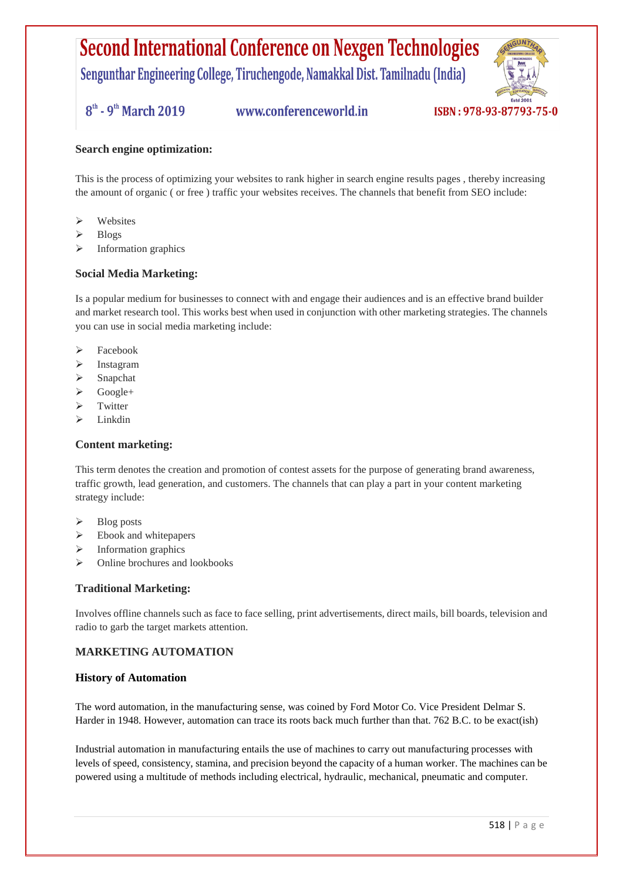Sengunthar Engineering College, Tiruchengode, Namakkal Dist. Tamilnadu (India)

 $8^{\text{th}}$  - 9<sup>th</sup> March 2019

www.conferenceworld.in



#### **Search engine optimization:**

This is the process of optimizing your websites to rank higher in search engine results pages , thereby increasing the amount of organic ( or free ) traffic your websites receives. The channels that benefit from SEO include:

- $\triangleright$  Websites
- Blogs
- Information graphics

#### **Social Media Marketing:**

Is a popular medium for businesses to connect with and engage their audiences and is an effective brand builder and market research tool. This works best when used in conjunction with other marketing strategies. The channels you can use in social media marketing include:

- $\triangleright$  Facebook
- Instagram
- $\triangleright$  Snapchat
- $\triangleright$  Google+
- $\triangleright$  Twitter
- Linkdin

#### **Content marketing:**

This term denotes the creation and promotion of contest assets for the purpose of generating brand awareness, traffic growth, lead generation, and customers. The channels that can play a part in your content marketing strategy include:

- $\triangleright$  Blog posts
- $\triangleright$  Ebook and white papers
- $\triangleright$  Information graphics
- $\triangleright$  Online brochures and lookbooks

#### **Traditional Marketing:**

Involves offline channels such as face to face selling, print advertisements, direct mails, bill boards, television and radio to garb the target markets attention.

#### **MARKETING AUTOMATION**

#### **History of Automation**

The word automation, in the manufacturing sense, was coined by Ford Motor Co. Vice President Delmar S. Harder in 1948. However, automation can trace its roots back much further than that. 762 B.C. to be exact(ish)

Industrial automation in manufacturing entails the use of machines to carry out manufacturing processes with levels of speed, consistency, stamina, and precision beyond the capacity of a human worker. The machines can be powered using a multitude of methods including electrical, hydraulic, mechanical, pneumatic and computer.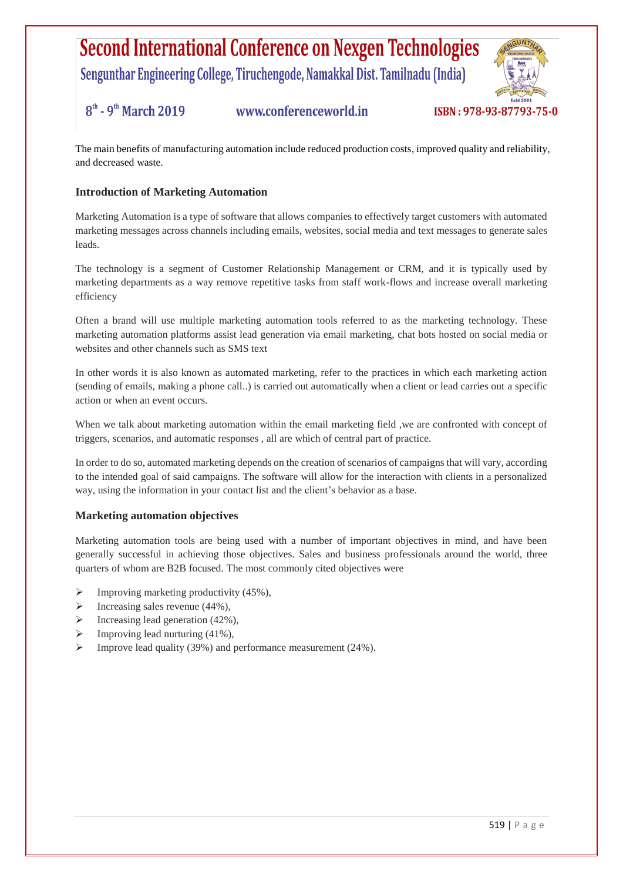Sengunthar Engineering College, Tiruchengode, Namakkal Dist. Tamilnadu (India)

#### $8^{\text{th}}$  - 9<sup>th</sup> March 2019 www.conferenceworld.in

ISBN: 978-93-87793-75-0

The main benefits of manufacturing automation include reduced production costs, improved quality and reliability, and decreased waste.

#### **Introduction of Marketing Automation**

Marketing Automation is a type of software that allows companies to effectively target customers with automated marketing messages across channels including emails, websites, social media and text messages to generate sales leads.

The technology is a segment of Customer Relationship Management or CRM, and it is typically used by marketing departments as a way remove repetitive tasks from staff work-flows and increase overall marketing efficiency

Often a brand will use multiple marketing automation tools referred to as the marketing technology. These marketing automation platforms assist lead generation via email marketing, chat bots hosted on social media or websites and other channels such as SMS text

In other words it is also known as automated marketing, refer to the practices in which each marketing action (sending of emails, making a phone call..) is carried out automatically when a client or lead carries out a specific action or when an event occurs.

When we talk about marketing automation within the email marketing field , we are confronted with concept of triggers, scenarios, and automatic responses , all are which of central part of practice.

In order to do so, automated marketing depends on the creation of scenarios of campaigns that will vary, according to the intended goal of said campaigns. The software will allow for the interaction with clients in a personalized way, using the information in your contact list and the client's behavior as a base.

#### **Marketing automation objectives**

Marketing automation tools are being used with a number of important objectives in mind, and have been generally successful in achieving those objectives. Sales and business professionals around the world, three quarters of whom are B2B focused. The most commonly cited objectives were

- $\triangleright$  Improving marketing productivity (45%),
- $\triangleright$  Increasing sales revenue (44%),
- $\triangleright$  Increasing lead generation (42%),
- Improving lead nurturing (41%),
- $\triangleright$  Improve lead quality (39%) and performance measurement (24%).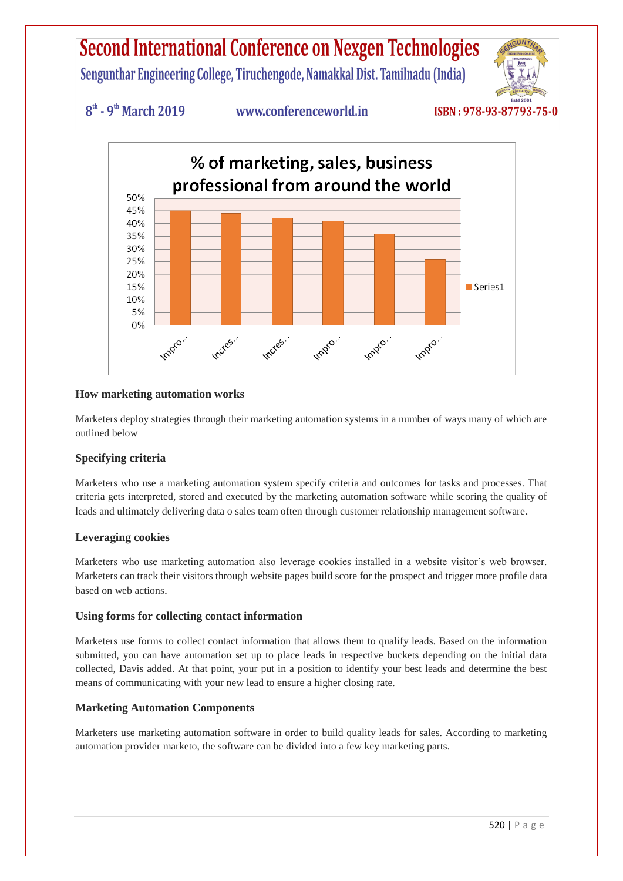Sengunthar Engineering College, Tiruchengode, Namakkal Dist. Tamilnadu (India)



 $8<sup>th</sup>$  - 9<sup>th</sup> March 2019

### www.conferenceworld.in



#### **How marketing automation works**

Marketers deploy strategies through their marketing automation systems in a number of ways many of which are outlined below

#### **Specifying criteria**

Marketers who use a marketing automation system specify criteria and outcomes for tasks and processes. That criteria gets interpreted, stored and executed by the marketing automation software while scoring the quality of leads and ultimately delivering data o sales team often through customer relationship management software.

#### **Leveraging cookies**

Marketers who use marketing automation also leverage cookies installed in a website visitor's web browser. Marketers can track their visitors through website pages build score for the prospect and trigger more profile data based on web actions.

#### **Using forms for collecting contact information**

Marketers use forms to collect contact information that allows them to qualify leads. Based on the information submitted, you can have automation set up to place leads in respective buckets depending on the initial data collected, Davis added. At that point, your put in a position to identify your best leads and determine the best means of communicating with your new lead to ensure a higher closing rate.

#### **Marketing Automation Components**

Marketers use marketing automation software in order to build quality leads for sales. According to marketing automation provider marketo, the software can be divided into a few key marketing parts.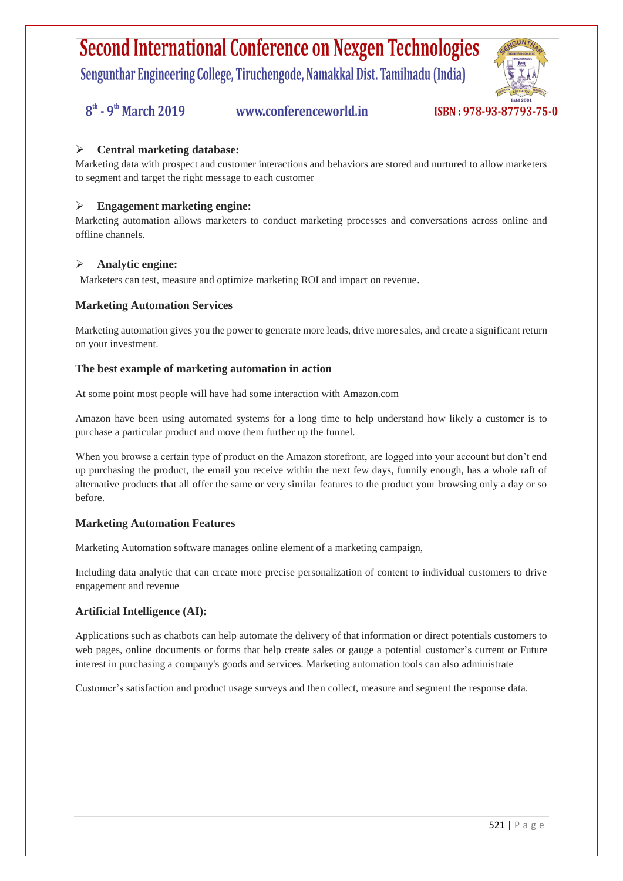Sengunthar Engineering College, Tiruchengode, Namakkal Dist. Tamilnadu (India)

 $8<sup>th</sup>$  - 9<sup>th</sup> March 2019

www.conferenceworld.in



#### **Central marketing database:**

Marketing data with prospect and customer interactions and behaviors are stored and nurtured to allow marketers to segment and target the right message to each customer

#### **Engagement marketing engine:**

Marketing automation allows marketers to conduct marketing processes and conversations across online and offline channels.

#### **Analytic engine:**

Marketers can test, measure and optimize marketing ROI and impact on revenue.

#### **Marketing Automation Services**

Marketing automation gives you the power to generate more leads, drive more sales, and create a significant return on your investment.

#### **The best example of marketing automation in action**

At some point most people will have had some interaction with Amazon.com

Amazon have been using automated systems for a long time to help understand how likely a customer is to purchase a particular product and move them further up the funnel.

When you browse a certain type of product on the Amazon storefront, are logged into your account but don't end up purchasing the product, the email you receive within the next few days, funnily enough, has a whole raft of alternative products that all offer the same or very similar features to the product your browsing only a day or so before.

#### **Marketing Automation Features**

Marketing Automation software manages online element of a marketing campaign,

Including data analytic that can create more precise personalization of content to individual customers to drive engagement and revenue

#### **Artificial Intelligence (AI):**

Applications such as chatbots can help automate the delivery of that information or direct potentials customers to web pages, online documents or forms that help create sales or gauge a potential customer's current or Future interest in purchasing a company's goods and services. Marketing automation tools can also administrate

Customer's satisfaction and product usage surveys and then collect, measure and segment the response data.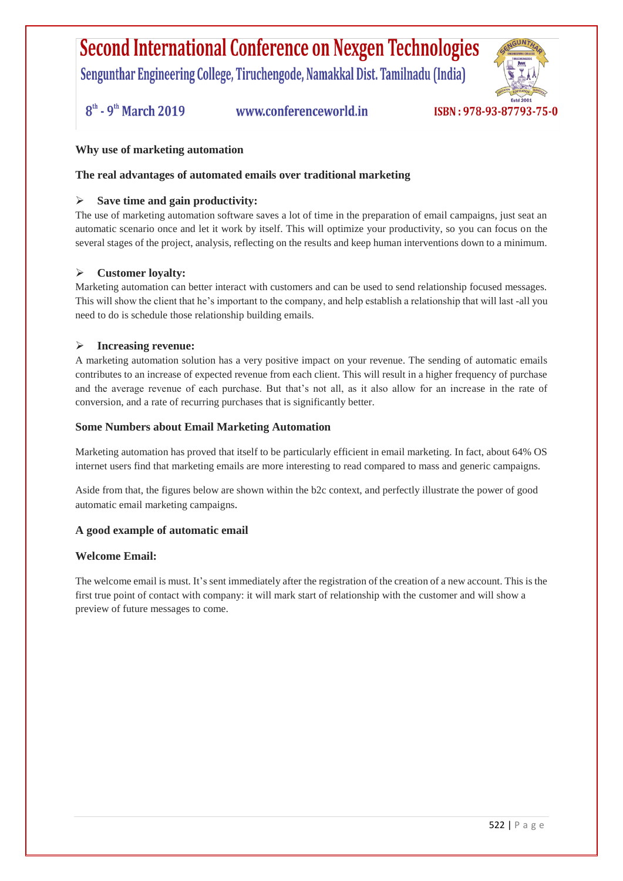Sengunthar Engineering College, Tiruchengode, Namakkal Dist. Tamilnadu (India)

 $8^{\text{th}}$  - 9<sup>th</sup> March 2019

www.conferenceworld.in



#### **Why use of marketing automation**

#### **The real advantages of automated emails over traditional marketing**

#### **Save time and gain productivity:**

The use of marketing automation software saves a lot of time in the preparation of email campaigns, just seat an automatic scenario once and let it work by itself. This will optimize your productivity, so you can focus on the several stages of the project, analysis, reflecting on the results and keep human interventions down to a minimum.

#### **Customer loyalty:**

Marketing automation can better interact with customers and can be used to send relationship focused messages. This will show the client that he's important to the company, and help establish a relationship that will last -all you need to do is schedule those relationship building emails.

#### **Increasing revenue:**

A marketing automation solution has a very positive impact on your revenue. The sending of automatic emails contributes to an increase of expected revenue from each client. This will result in a higher frequency of purchase and the average revenue of each purchase. But that's not all, as it also allow for an increase in the rate of conversion, and a rate of recurring purchases that is significantly better.

#### **Some Numbers about Email Marketing Automation**

Marketing automation has proved that itself to be particularly efficient in email marketing. In fact, about 64% OS internet users find that marketing emails are more interesting to read compared to mass and generic campaigns.

Aside from that, the figures below are shown within the b2c context, and perfectly illustrate the power of good automatic email marketing campaigns.

#### **A good example of automatic email**

#### **Welcome Email:**

The welcome email is must. It's sent immediately after the registration of the creation of a new account. This is the first true point of contact with company: it will mark start of relationship with the customer and will show a preview of future messages to come.